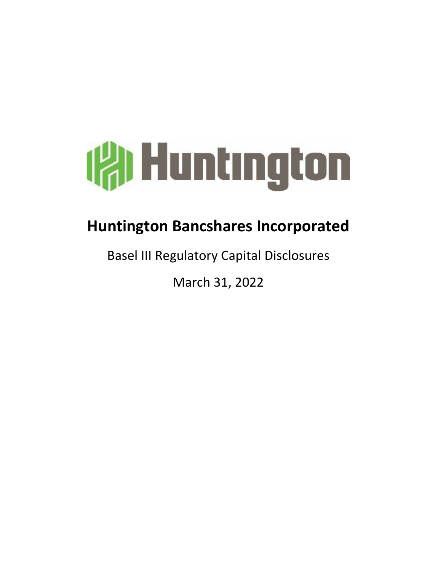

# **Huntington Bancshares Incorporated**

**Basel III Regulatory Capital Disclosures** 

March 31, 2022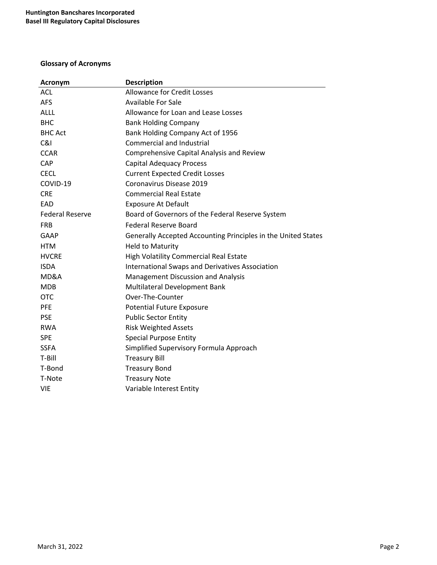# **Glossary of Acronyms**

| <b>Acronym</b>         | <b>Description</b>                                            |
|------------------------|---------------------------------------------------------------|
| <b>ACL</b>             | <b>Allowance for Credit Losses</b>                            |
| <b>AFS</b>             | <b>Available For Sale</b>                                     |
| <b>ALLL</b>            | Allowance for Loan and Lease Losses                           |
| <b>BHC</b>             | <b>Bank Holding Company</b>                                   |
| <b>BHC Act</b>         | Bank Holding Company Act of 1956                              |
| C&I                    | <b>Commercial and Industrial</b>                              |
| <b>CCAR</b>            | Comprehensive Capital Analysis and Review                     |
| <b>CAP</b>             | <b>Capital Adequacy Process</b>                               |
| <b>CECL</b>            | <b>Current Expected Credit Losses</b>                         |
| COVID-19               | Coronavirus Disease 2019                                      |
| <b>CRE</b>             | <b>Commercial Real Estate</b>                                 |
| EAD                    | <b>Exposure At Default</b>                                    |
| <b>Federal Reserve</b> | Board of Governors of the Federal Reserve System              |
| <b>FRB</b>             | <b>Federal Reserve Board</b>                                  |
| GAAP                   | Generally Accepted Accounting Principles in the United States |
| <b>HTM</b>             | <b>Held to Maturity</b>                                       |
| <b>HVCRE</b>           | High Volatility Commercial Real Estate                        |
| <b>ISDA</b>            | <b>International Swaps and Derivatives Association</b>        |
| MD&A                   | <b>Management Discussion and Analysis</b>                     |
| <b>MDB</b>             | Multilateral Development Bank                                 |
| <b>OTC</b>             | Over-The-Counter                                              |
| <b>PFE</b>             | <b>Potential Future Exposure</b>                              |
| <b>PSE</b>             | <b>Public Sector Entity</b>                                   |
| <b>RWA</b>             | <b>Risk Weighted Assets</b>                                   |
| <b>SPE</b>             | <b>Special Purpose Entity</b>                                 |
| <b>SSFA</b>            | Simplified Supervisory Formula Approach                       |
| T-Bill                 | <b>Treasury Bill</b>                                          |
| T-Bond                 | <b>Treasury Bond</b>                                          |
| T-Note                 | <b>Treasury Note</b>                                          |
| <b>VIE</b>             | Variable Interest Entity                                      |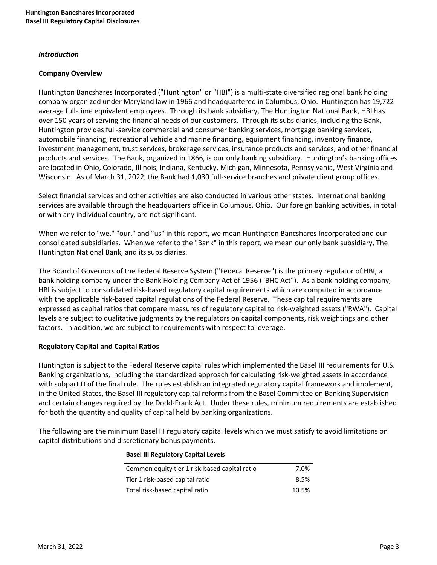#### *Introduction*

#### **Company Overview**

Huntington Bancshares Incorporated ("Huntington" or "HBI") is a multi-state diversified regional bank holding company organized under Maryland law in 1966 and headquartered in Columbus, Ohio. Huntington has 19,722 average full-time equivalent employees. Through its bank subsidiary, The Huntington National Bank, HBI has over 150 years of serving the financial needs of our customers. Through its subsidiaries, including the Bank, Huntington provides full-service commercial and consumer banking services, mortgage banking services, automobile financing, recreational vehicle and marine financing, equipment financing, inventory finance, investment management, trust services, brokerage services, insurance products and services, and other financial products and services. The Bank, organized in 1866, is our only banking subsidiary. Huntington's banking offices are located in Ohio, Colorado, Illinois, Indiana, Kentucky, Michigan, Minnesota, Pennsylvania, West Virginia and Wisconsin. As of March 31, 2022, the Bank had 1,030 full-service branches and private client group offices.

Select financial services and other activities are also conducted in various other states. International banking services are available through the headquarters office in Columbus, Ohio. Our foreign banking activities, in total or with any individual country, are not significant.

When we refer to "we," "our," and "us" in this report, we mean Huntington Bancshares Incorporated and our consolidated subsidiaries. When we refer to the "Bank" in this report, we mean our only bank subsidiary, The Huntington National Bank, and its subsidiaries.

The Board of Governors of the Federal Reserve System ("Federal Reserve") is the primary regulator of HBI, a bank holding company under the Bank Holding Company Act of 1956 ("BHC Act"). As a bank holding company, HBI is subject to consolidated risk-based regulatory capital requirements which are computed in accordance with the applicable risk-based capital regulations of the Federal Reserve. These capital requirements are expressed as capital ratios that compare measures of regulatory capital to risk-weighted assets ("RWA"). Capital levels are subject to qualitative judgments by the regulators on capital components, risk weightings and other factors. In addition, we are subject to requirements with respect to leverage.

#### **Regulatory Capital and Capital Ratios**

Huntington is subject to the Federal Reserve capital rules which implemented the Basel III requirements for U.S. Banking organizations, including the standardized approach for calculating risk-weighted assets in accordance with subpart D of the final rule. The rules establish an integrated regulatory capital framework and implement, in the United States, the Basel III regulatory capital reforms from the Basel Committee on Banking Supervision and certain changes required by the Dodd-Frank Act. Under these rules, minimum requirements are established for both the quantity and quality of capital held by banking organizations.

The following are the minimum Basel III regulatory capital levels which we must satisfy to avoid limitations on capital distributions and discretionary bonus payments.

| Common equity tier 1 risk-based capital ratio | 7.0%  |
|-----------------------------------------------|-------|
| Tier 1 risk-based capital ratio               | 8.5%  |
| Total risk-based capital ratio                | 10.5% |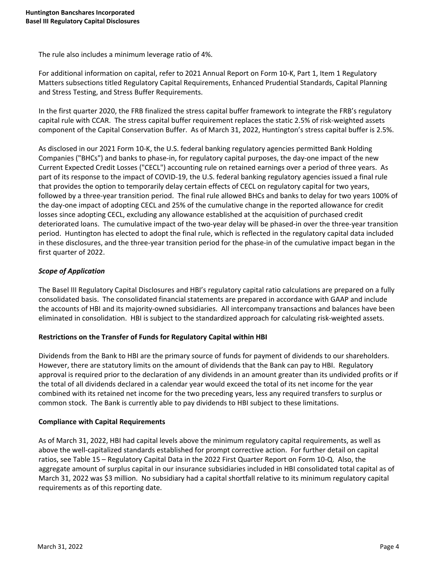The rule also includes a minimum leverage ratio of 4%.

For additional information on capital, refer to 2021 Annual Report on Form 10-K, Part 1, Item 1 Regulatory Matters subsections titled Regulatory Capital Requirements, Enhanced Prudential Standards, Capital Planning and Stress Testing, and Stress Buffer Requirements.

In the first quarter 2020, the FRB finalized the stress capital buffer framework to integrate the FRB's regulatory capital rule with CCAR. The stress capital buffer requirement replaces the static 2.5% of risk-weighted assets component of the Capital Conservation Buffer. As of March 31, 2022, Huntington's stress capital buffer is 2.5%.

As disclosed in our 2021 Form 10-K, the U.S. federal banking regulatory agencies permitted Bank Holding Companies ("BHCs") and banks to phase-in, for regulatory capital purposes, the day-one impact of the new Current Expected Credit Losses ("CECL") accounting rule on retained earnings over a period of three years. As part of its response to the impact of COVID-19, the U.S. federal banking regulatory agencies issued a final rule that provides the option to temporarily delay certain effects of CECL on regulatory capital for two years, followed by a three-year transition period. The final rule allowed BHCs and banks to delay for two years 100% of the day-one impact of adopting CECL and 25% of the cumulative change in the reported allowance for credit losses since adopting CECL, excluding any allowance established at the acquisition of purchased credit deteriorated loans. The cumulative impact of the two-year delay will be phased-in over the three-year transition period. Huntington has elected to adopt the final rule, which is reflected in the regulatory capital data included in these disclosures, and the three-year transition period for the phase-in of the cumulative impact began in the first quarter of 2022.

# *Scope of Application*

The Basel III Regulatory Capital Disclosures and HBI's regulatory capital ratio calculations are prepared on a fully consolidated basis. The consolidated financial statements are prepared in accordance with GAAP and include the accounts of HBI and its majority-owned subsidiaries. All intercompany transactions and balances have been eliminated in consolidation. HBI is subject to the standardized approach for calculating risk-weighted assets.

#### **Restrictions on the Transfer of Funds for Regulatory Capital within HBI**

Dividends from the Bank to HBI are the primary source of funds for payment of dividends to our shareholders. However, there are statutory limits on the amount of dividends that the Bank can pay to HBI. Regulatory approval is required prior to the declaration of any dividends in an amount greater than its undivided profits or if the total of all dividends declared in a calendar year would exceed the total of its net income for the year combined with its retained net income for the two preceding years, less any required transfers to surplus or common stock. The Bank is currently able to pay dividends to HBI subject to these limitations.

#### **Compliance with Capital Requirements**

As of March 31, 2022, HBI had capital levels above the minimum regulatory capital requirements, as well as above the well-capitalized standards established for prompt corrective action. For further detail on capital ratios, see Table 15 - Regulatory Capital Data in the 2022 First Quarter Report on Form 10-Q. Also, the aggregate amount of surplus capital in our insurance subsidiaries included in HBI consolidated total capital as of March 31, 2022 was \$3 million. No subsidiary had a capital shortfall relative to its minimum regulatory capital requirements as of this reporting date.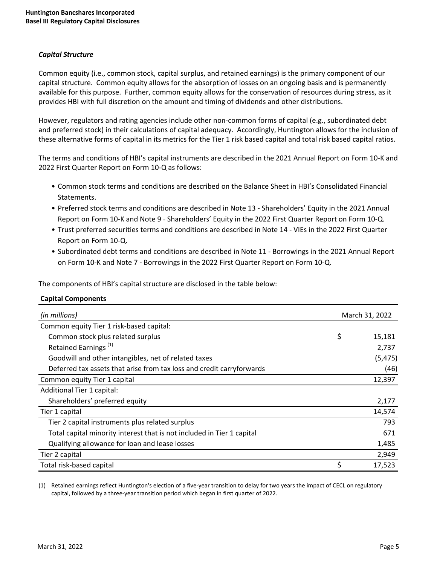# *Capital Structure*

Common equity (i.e., common stock, capital surplus, and retained earnings) is the primary component of our capital structure. Common equity allows for the absorption of losses on an ongoing basis and is permanently available for this purpose. Further, common equity allows for the conservation of resources during stress, as it provides HBI with full discretion on the amount and timing of dividends and other distributions.

However, regulators and rating agencies include other non-common forms of capital (e.g., subordinated debt and preferred stock) in their calculations of capital adequacy. Accordingly, Huntington allows for the inclusion of these alternative forms of capital in its metrics for the Tier 1 risk based capital and total risk based capital ratios.

The terms and conditions of HBI's capital instruments are described in the 2021 Annual Report on Form 10-K and 2022 First Quarter Report on Form 10-Q as follows:

- Common stock terms and conditions are described on the Balance Sheet in HBI's Consolidated Financial Statements.
- Preferred stock terms and conditions are described in Note 13 Shareholders' Equity in the 2021 Annual Report on Form 10-K and Note 9 - Shareholders' Equity in the 2022 First Quarter Report on Form 10-Q.
- Trust preferred securities terms and conditions are described in Note 14 VIEs in the 2022 First Quarter Report on Form 10-Q.
- Subordinated debt terms and conditions are described in Note 11 Borrowings in the 2021 Annual Report on Form 10-K and Note 7 - Borrowings in the 2022 First Quarter Report on Form 10-Q.

The components of HBI's capital structure are disclosed in the table below:

#### **Capital Components**

| (in millions)                                                          | March 31, 2022 |
|------------------------------------------------------------------------|----------------|
| Common equity Tier 1 risk-based capital:                               |                |
| Common stock plus related surplus                                      | \$<br>15,181   |
| Retained Earnings <sup>(1)</sup>                                       | 2,737          |
| Goodwill and other intangibles, net of related taxes                   | (5, 475)       |
| Deferred tax assets that arise from tax loss and credit carryforwards  | (46)           |
| Common equity Tier 1 capital                                           | 12,397         |
| Additional Tier 1 capital:                                             |                |
| Shareholders' preferred equity                                         | 2,177          |
| Tier 1 capital                                                         | 14,574         |
| Tier 2 capital instruments plus related surplus                        | 793            |
| Total capital minority interest that is not included in Tier 1 capital | 671            |
| Qualifying allowance for loan and lease losses                         | 1,485          |
| Tier 2 capital                                                         | 2,949          |
| Total risk-based capital                                               | \$<br>17,523   |

(1) Retained earnings reflect Huntington's election of a five-year transition to delay for two years the impact of CECL on regulatory capital, followed by a three-year transition period which began in first quarter of 2022.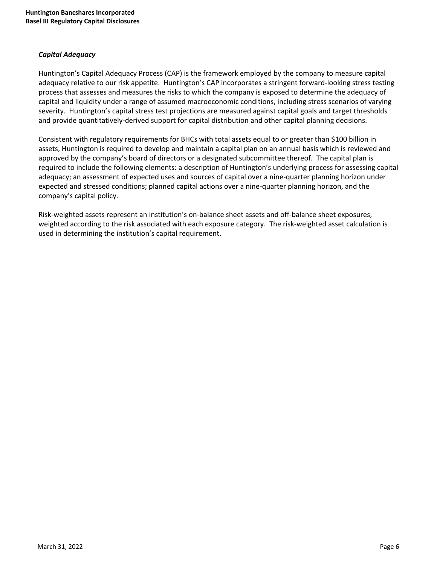## *Capital Adequacy*

Huntington's Capital Adequacy Process (CAP) is the framework employed by the company to measure capital adequacy relative to our risk appetite. Huntington's CAP incorporates a stringent forward-looking stress testing process that assesses and measures the risks to which the company is exposed to determine the adequacy of capital and liquidity under a range of assumed macroeconomic conditions, including stress scenarios of varying severity. Huntington's capital stress test projections are measured against capital goals and target thresholds and provide quantitatively-derived support for capital distribution and other capital planning decisions.

Consistent with regulatory requirements for BHCs with total assets equal to or greater than \$100 billion in assets, Huntington is required to develop and maintain a capital plan on an annual basis which is reviewed and approved by the company's board of directors or a designated subcommittee thereof. The capital plan is required to include the following elements: a description of Huntington's underlying process for assessing capital adequacy; an assessment of expected uses and sources of capital over a nine-quarter planning horizon under expected and stressed conditions; planned capital actions over a nine-quarter planning horizon, and the company's capital policy.

Risk-weighted assets represent an institution's on-balance sheet assets and off-balance sheet exposures, weighted according to the risk associated with each exposure category. The risk-weighted asset calculation is used in determining the institution's capital requirement.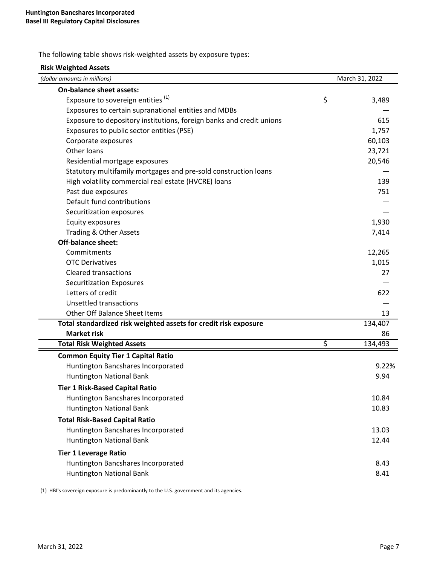The following table shows risk-weighted assets by exposure types:

| <b>Risk Weighted Assets</b>                                          |                |
|----------------------------------------------------------------------|----------------|
| (dollar amounts in millions)                                         | March 31, 2022 |
| <b>On-balance sheet assets:</b>                                      |                |
| Exposure to sovereign entities <sup>(1)</sup>                        | \$<br>3,489    |
| Exposures to certain supranational entities and MDBs                 |                |
| Exposure to depository institutions, foreign banks and credit unions | 615            |
| Exposures to public sector entities (PSE)                            | 1,757          |
| Corporate exposures                                                  | 60,103         |
| Other loans                                                          | 23,721         |
| Residential mortgage exposures                                       | 20,546         |
| Statutory multifamily mortgages and pre-sold construction loans      |                |
| High volatility commercial real estate (HVCRE) loans                 | 139            |
| Past due exposures                                                   | 751            |
| Default fund contributions                                           |                |
| Securitization exposures                                             |                |
| Equity exposures                                                     | 1,930          |
| Trading & Other Assets                                               | 7,414          |
| <b>Off-balance sheet:</b>                                            |                |
| Commitments                                                          | 12,265         |
| <b>OTC Derivatives</b>                                               | 1,015          |
| <b>Cleared transactions</b>                                          | 27             |
| <b>Securitization Exposures</b>                                      |                |
| Letters of credit                                                    | 622            |
| Unsettled transactions                                               |                |
| Other Off Balance Sheet Items                                        | 13             |
| Total standardized risk weighted assets for credit risk exposure     | 134,407        |
| <b>Market risk</b>                                                   | 86             |
| <b>Total Risk Weighted Assets</b>                                    | \$<br>134,493  |
| <b>Common Equity Tier 1 Capital Ratio</b>                            |                |
| Huntington Bancshares Incorporated                                   | 9.22%          |
| Huntington National Bank                                             | 9.94           |
| <b>Tier 1 Risk-Based Capital Ratio</b>                               |                |
| Huntington Bancshares Incorporated                                   | 10.84          |
| Huntington National Bank                                             | 10.83          |
| <b>Total Risk-Based Capital Ratio</b>                                |                |
| Huntington Bancshares Incorporated                                   | 13.03          |
| <b>Huntington National Bank</b>                                      | 12.44          |
| <b>Tier 1 Leverage Ratio</b>                                         |                |
| Huntington Bancshares Incorporated                                   | 8.43           |
| Huntington National Bank                                             | 8.41           |

(1) HBI's sovereign exposure is predominantly to the U.S. government and its agencies.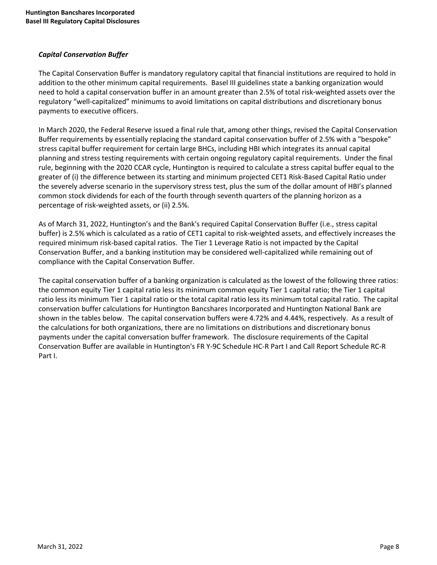# *Capital Conservation Buffer*

The Capital Conservation Buffer is mandatory regulatory capital that financial institutions are required to hold in addition to the other minimum capital requirements. Basel III guidelines state a banking organization would need to hold a capital conservation buffer in an amount greater than 2.5% of total risk-weighted assets over the regulatory "well-capitalized" minimums to avoid limitations on capital distributions and discretionary bonus payments to executive officers.

In March 2020, the Federal Reserve issued a final rule that, among other things, revised the Capital Conservation Buffer requirements by essentially replacing the standard capital conservation buffer of 2.5% with a "bespoke" stress capital buffer requirement for certain large BHCs, including HBI which integrates its annual capital planning and stress testing requirements with certain ongoing regulatory capital requirements. Under the final rule, beginning with the 2020 CCAR cycle, Huntington is required to calculate a stress capital buffer equal to the greater of (i) the difference between its starting and minimum projected CET1 Risk-Based Capital Ratio under the severely adverse scenario in the supervisory stress test, plus the sum of the dollar amount of HBI's planned common stock dividends for each of the fourth through seventh quarters of the planning horizon as a percentage of risk-weighted assets, or (ii) 2.5%.

As of March 31, 2022, Huntington's and the Bank's required Capital Conservation Buffer (i.e., stress capital buffer) is 2.5% which is calculated as a ratio of CET1 capital to risk-weighted assets, and effectively increases the required minimum risk-based capital ratios. The Tier 1 Leverage Ratio is not impacted by the Capital Conservation Buffer, and a banking institution may be considered well-capitalized while remaining out of compliance with the Capital Conservation Buffer.

The capital conservation buffer of a banking organization is calculated as the lowest of the following three ratios: the common equity Tier 1 capital ratio less its minimum common equity Tier 1 capital ratio; the Tier 1 capital ratio less its minimum Tier 1 capital ratio or the total capital ratio less its minimum total capital ratio. The capital conservation buffer calculations for Huntington Bancshares Incorporated and Huntington National Bank are shown in the tables below. The capital conservation buffers were 4.72% and 4.44%, respectively. As a result of the calculations for both organizations, there are no limitations on distributions and discretionary bonus payments under the capital conversation buffer framework. The disclosure requirements of the Capital Conservation Buffer are available in Huntington's FR Y-9C Schedule HC-R Part I and Call Report Schedule RC-R Part I.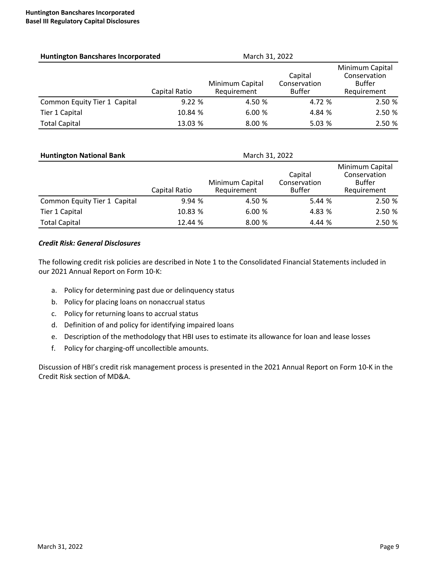| <b>Huntington Bancshares Incorporated</b> |               | March 31, 2022                 |                                          |                                                                 |
|-------------------------------------------|---------------|--------------------------------|------------------------------------------|-----------------------------------------------------------------|
|                                           | Capital Ratio | Minimum Capital<br>Requirement | Capital<br>Conservation<br><b>Buffer</b> | Minimum Capital<br>Conservation<br><b>Buffer</b><br>Requirement |
| Common Equity Tier 1 Capital              | 9.22%         | 4.50 %                         | 4.72 %                                   | 2.50 %                                                          |
| Tier 1 Capital                            | 10.84 %       | 6.00%                          | 4.84 %                                   | 2.50 %                                                          |
| <b>Total Capital</b>                      | 13.03 %       | 8.00 %                         | 5.03%                                    | 2.50 %                                                          |

| <b>Huntington National Bank</b> |               | March 31, 2022                 |                                          |                                                                 |
|---------------------------------|---------------|--------------------------------|------------------------------------------|-----------------------------------------------------------------|
|                                 | Capital Ratio | Minimum Capital<br>Requirement | Capital<br>Conservation<br><b>Buffer</b> | Minimum Capital<br>Conservation<br><b>Buffer</b><br>Requirement |
| Common Equity Tier 1 Capital    | 9.94%         | 4.50 %                         | 5.44 %                                   | 2.50 %                                                          |
| Tier 1 Capital                  | 10.83 %       | 6.00%                          | 4.83 %                                   | 2.50 %                                                          |
| <b>Total Capital</b>            | 12.44 %       | 8.00 %                         | 4.44 %                                   | 2.50 %                                                          |

## *Credit Risk: General Disclosures*

The following credit risk policies are described in Note 1 to the Consolidated Financial Statements included in our 2021 Annual Report on Form 10-K:

- a. Policy for determining past due or delinquency status
- b. Policy for placing loans on nonaccrual status
- c. Policy for returning loans to accrual status
- d. Definition of and policy for identifying impaired loans
- e. Description of the methodology that HBI uses to estimate its allowance for loan and lease losses
- f. Policy for charging-off uncollectible amounts.

Discussion of HBI's credit risk management process is presented in the 2021 Annual Report on Form 10-K in the Credit Risk section of MD&A.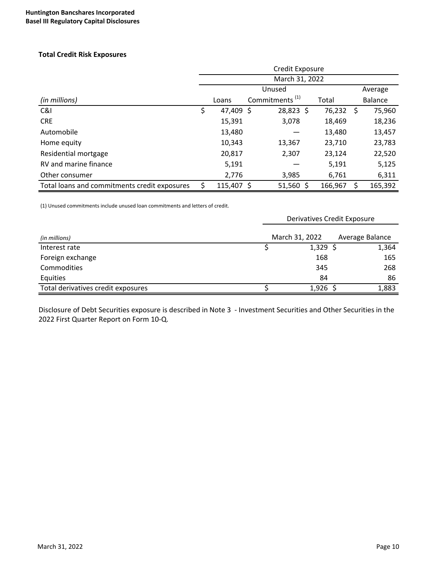#### **Total Credit Risk Exposures**

|                                              |                 | March 31, 2022             |         |    |                |
|----------------------------------------------|-----------------|----------------------------|---------|----|----------------|
|                                              |                 | Unused                     |         |    | Average        |
| (in millions)                                | Loans           | Commitments <sup>(1)</sup> | Total   |    | <b>Balance</b> |
| C&I                                          | \$<br>47,409 \$ | $28,823$ \$                | 76,232  | -S | 75,960         |
| <b>CRE</b>                                   | 15,391          | 3,078                      | 18,469  |    | 18,236         |
| Automobile                                   | 13,480          |                            | 13,480  |    | 13,457         |
| Home equity                                  | 10,343          | 13,367                     | 23,710  |    | 23,783         |
| Residential mortgage                         | 20,817          | 2,307                      | 23,124  |    | 22,520         |
| RV and marine finance                        | 5,191           |                            | 5,191   |    | 5,125          |
| Other consumer                               | 2,776           | 3,985                      | 6,761   |    | 6,311          |
| Total loans and commitments credit exposures | $115,407$ \$    | $51,560$ \$                | 166,967 |    | 165,392        |

(1) Unused commitments include unused loan commitments and letters of credit.

|                                    | <b>Derivatives Credit Exposure</b> |                |  |                 |
|------------------------------------|------------------------------------|----------------|--|-----------------|
| (in millions)                      |                                    | March 31, 2022 |  | Average Balance |
| Interest rate                      |                                    | $1,329$ \$     |  | 1,364           |
| Foreign exchange                   |                                    | 168            |  | 165             |
| <b>Commodities</b>                 |                                    | 345            |  | 268             |
| Equities                           |                                    | 84             |  | 86              |
| Total derivatives credit exposures |                                    | $1,926$ \$     |  | 1,883           |

Disclosure of Debt Securities exposure is described in Note 3 - Investment Securities and Other Securities in the 2022 First Quarter Report on Form 10-Q.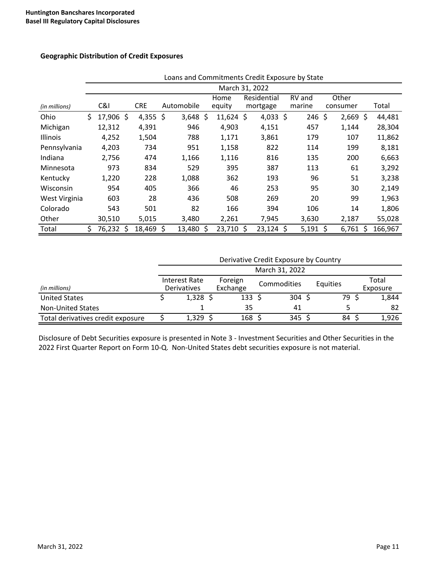#### **Geographic Distribution of Credit Exposures**

|               | Loans and Commitments Credit Exposure by State |                |  |            |    |            |     |             |  |             |          |            |   |         |
|---------------|------------------------------------------------|----------------|--|------------|----|------------|-----|-------------|--|-------------|----------|------------|---|---------|
|               |                                                | March 31, 2022 |  |            |    |            |     |             |  |             |          |            |   |         |
|               |                                                |                |  |            |    |            |     | Home        |  | Residential | RV and   | Other      |   |         |
| (in millions) |                                                | C&I            |  | <b>CRE</b> |    | Automobile |     | equity      |  | mortgage    | marine   | consumer   |   | Total   |
| Ohio          | \$                                             | 17,906 \$      |  | 4,355 \$   |    | $3,648$ \$ |     | $11,624$ \$ |  | 4,033 \$    | $246$ \$ | $2,669$ \$ |   | 44,481  |
| Michigan      |                                                | 12,312         |  | 4,391      |    | 946        |     | 4,903       |  | 4,151       | 457      | 1,144      |   | 28,304  |
| Illinois      |                                                | 4,252          |  | 1,504      |    | 788        |     | 1,171       |  | 3,861       | 179      | 107        |   | 11,862  |
| Pennsylvania  |                                                | 4,203          |  | 734        |    | 951        |     | 1,158       |  | 822         | 114      | 199        |   | 8,181   |
| Indiana       |                                                | 2,756          |  | 474        |    | 1,166      |     | 1,116       |  | 816         | 135      | 200        |   | 6,663   |
| Minnesota     |                                                | 973            |  | 834        |    | 529        |     | 395         |  | 387         | 113      | 61         |   | 3,292   |
| Kentucky      |                                                | 1,220          |  | 228        |    | 1,088      |     | 362         |  | 193         | 96       | 51         |   | 3,238   |
| Wisconsin     |                                                | 954            |  | 405        |    | 366        |     | 46          |  | 253         | 95       | 30         |   | 2,149   |
| West Virginia |                                                | 603            |  | 28         |    | 436        |     | 508         |  | 269         | 20       | 99         |   | 1,963   |
| Colorado      |                                                | 543            |  | 501        |    | 82         |     | 166         |  | 394         | 106      | 14         |   | 1,806   |
| Other         |                                                | 30,510         |  | 5,015      |    | 3,480      |     | 2,261       |  | 7,945       | 3,630    | 2,187      |   | 55,028  |
| Total         | \$                                             | 76,232         |  | 18,469     | Ŝ. | 13,480     | -\$ | 23,710 \$   |  | $23,124$ \$ | 5,191    | 6,761      | Ŝ | 166,967 |

#### Loans and Commitments Credit Exposure by State

#### Derivative Credit Exposure by Country

|                                   |                              |                     | March 31, 2022 |          |                   |
|-----------------------------------|------------------------------|---------------------|----------------|----------|-------------------|
| (in millions)                     | Interest Rate<br>Derivatives | Foreign<br>Exchange | Commodities    | Equities | Total<br>Exposure |
| <b>United States</b>              | 1,328                        | $133 \;$ \$         | 304            | 79.      | 1,844             |
| <b>Non-United States</b>          |                              | 35                  | 41             |          | -82               |
| Total derivatives credit exposure | 1,329                        | 168                 | 345            | 84       | 1,926             |

Disclosure of Debt Securities exposure is presented in Note 3 - Investment Securities and Other Securities in the 2022 First Quarter Report on Form 10-Q. Non-United States debt securities exposure is not material.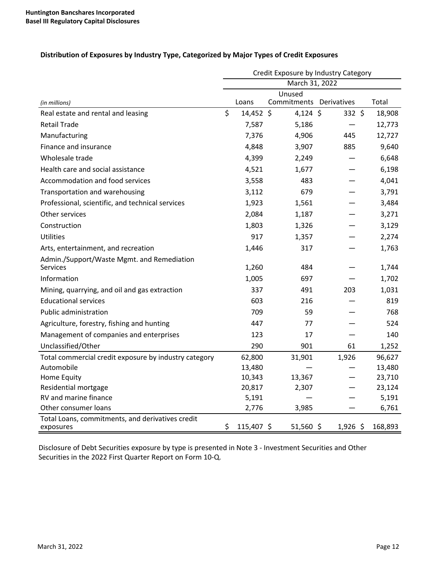| Distribution of Exposures by Industry Type, Categorized by Major Types of Credit Exposures |
|--------------------------------------------------------------------------------------------|
|--------------------------------------------------------------------------------------------|

|                                                               | Credit Exposure by Industry Category |            |                                   |             |  |         |
|---------------------------------------------------------------|--------------------------------------|------------|-----------------------------------|-------------|--|---------|
|                                                               | March 31, 2022                       |            |                                   |             |  |         |
| (in millions)                                                 |                                      | Loans      | Unused<br>Commitments Derivatives |             |  | Total   |
| Real estate and rental and leasing                            | \$                                   | 14,452 \$  | $4,124$ \$                        | $332 \;$ \$ |  | 18,908  |
| <b>Retail Trade</b>                                           |                                      | 7,587      | 5,186                             |             |  | 12,773  |
| Manufacturing                                                 |                                      | 7,376      | 4,906                             | 445         |  | 12,727  |
| Finance and insurance                                         |                                      | 4,848      | 3,907                             | 885         |  | 9,640   |
| Wholesale trade                                               |                                      | 4,399      | 2,249                             |             |  | 6,648   |
| Health care and social assistance                             |                                      | 4,521      | 1,677                             |             |  | 6,198   |
| Accommodation and food services                               |                                      | 3,558      | 483                               |             |  | 4,041   |
| Transportation and warehousing                                |                                      | 3,112      | 679                               |             |  | 3,791   |
| Professional, scientific, and technical services              |                                      | 1,923      | 1,561                             |             |  | 3,484   |
| Other services                                                |                                      | 2,084      | 1,187                             |             |  | 3,271   |
| Construction                                                  |                                      | 1,803      | 1,326                             |             |  | 3,129   |
| <b>Utilities</b>                                              |                                      | 917        | 1,357                             |             |  | 2,274   |
| Arts, entertainment, and recreation                           |                                      | 1,446      | 317                               |             |  | 1,763   |
| Admin./Support/Waste Mgmt. and Remediation                    |                                      |            |                                   |             |  |         |
| <b>Services</b>                                               |                                      | 1,260      | 484                               |             |  | 1,744   |
| Information                                                   |                                      | 1,005      | 697                               |             |  | 1,702   |
| Mining, quarrying, and oil and gas extraction                 |                                      | 337        | 491                               | 203         |  | 1,031   |
| <b>Educational services</b>                                   |                                      | 603        | 216                               |             |  | 819     |
| Public administration                                         |                                      | 709        | 59                                |             |  | 768     |
| Agriculture, forestry, fishing and hunting                    |                                      | 447        | 77                                |             |  | 524     |
| Management of companies and enterprises                       |                                      | 123        | 17                                |             |  | 140     |
| Unclassified/Other                                            |                                      | 290        | 901                               | 61          |  | 1,252   |
| Total commercial credit exposure by industry category         |                                      | 62,800     | 31,901                            | 1,926       |  | 96,627  |
| Automobile                                                    |                                      | 13,480     |                                   |             |  | 13,480  |
| Home Equity                                                   |                                      | 10,343     | 13,367                            |             |  | 23,710  |
| Residential mortgage                                          |                                      | 20,817     | 2,307                             |             |  | 23,124  |
| RV and marine finance                                         |                                      | 5,191      |                                   |             |  | 5,191   |
| Other consumer loans                                          |                                      | 2,776      | 3,985                             |             |  | 6,761   |
| Total Loans, commitments, and derivatives credit<br>exposures | \$                                   | 115,407 \$ | $51,560$ \$                       | $1,926$ \$  |  | 168,893 |

Disclosure of Debt Securities exposure by type is presented in Note 3 - Investment Securities and Other Securities in the 2022 First Quarter Report on Form 10-Q.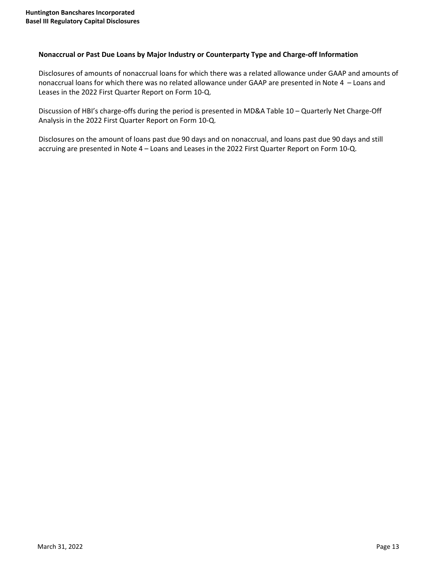#### Nonaccrual or Past Due Loans by Major Industry or Counterparty Type and Charge-off Information

Disclosures of amounts of nonaccrual loans for which there was a related allowance under GAAP and amounts of nonaccrual loans for which there was no related allowance under GAAP are presented in Note 4 - Loans and Leases in the 2022 First Quarter Report on Form 10-Q.

Discussion of HBI's charge-offs during the period is presented in MD&A Table 10 – Quarterly Net Charge-Off Analysis in the 2022 First Quarter Report on Form 10-Q.

Disclosures on the amount of loans past due 90 days and on nonaccrual, and loans past due 90 days and still accruing are presented in Note 4 - Loans and Leases in the 2022 First Quarter Report on Form 10-Q.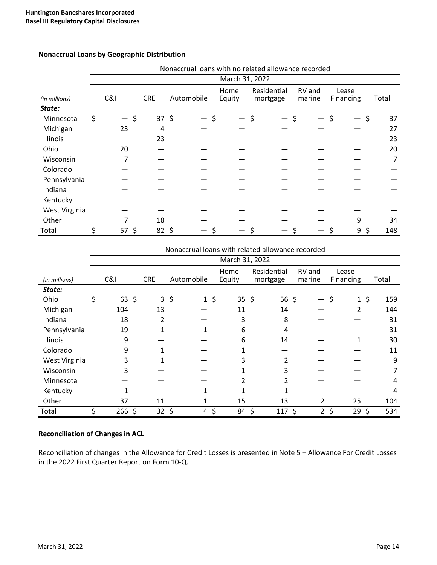|               | Nonaccrual loans with no related allowance recorded |         |            |            |  |                |             |        |           |           |
|---------------|-----------------------------------------------------|---------|------------|------------|--|----------------|-------------|--------|-----------|-----------|
|               |                                                     |         |            |            |  | March 31, 2022 |             |        |           |           |
|               |                                                     |         |            |            |  | Home           | Residential | RV and | Lease     |           |
| (in millions) |                                                     | C&l     | <b>CRE</b> | Automobile |  | Equity         | mortgage    | marine | Financing | Total     |
| State:        |                                                     |         |            |            |  |                |             |        |           |           |
| Minnesota     | \$                                                  |         | $37 \;$ \$ |            |  |                | \$          | Ś      |           | \$<br>37  |
| Michigan      |                                                     | 23      | 4          |            |  |                |             |        |           | 27        |
| Illinois      |                                                     |         | 23         |            |  |                |             |        |           | 23        |
| Ohio          |                                                     | 20      |            |            |  |                |             |        |           | 20        |
| Wisconsin     |                                                     | 7       |            |            |  |                |             |        |           | 7         |
| Colorado      |                                                     |         |            |            |  |                |             |        |           |           |
| Pennsylvania  |                                                     |         |            |            |  |                |             |        |           |           |
| Indiana       |                                                     |         |            |            |  |                |             |        |           |           |
| Kentucky      |                                                     |         |            |            |  |                |             |        |           |           |
| West Virginia |                                                     |         |            |            |  |                |             |        |           |           |
| Other         |                                                     | 7       | 18         |            |  |                |             |        | 9         | 34        |
| Total         |                                                     | $57$ \$ | 82, 5      |            |  |                |             |        | 9         | \$<br>148 |

## **Nonaccrual Loans by Geographic Distribution**

|               | Nonaccrual loans with related allowance recorded |              |            |          |                |             |         |                |           |
|---------------|--------------------------------------------------|--------------|------------|----------|----------------|-------------|---------|----------------|-----------|
|               |                                                  |              |            |          | March 31, 2022 |             |         |                |           |
|               |                                                  |              |            |          | Home           | Residential | RV and  | Lease          |           |
| (in millions) | C&I                                              | <b>CRE</b>   | Automobile |          | Equity         | mortgage    | marine  | Financing      | Total     |
| State:        |                                                  |              |            |          |                |             |         |                |           |
| Ohio          | \$<br>63, 5                                      | $\mathbf{3}$ | \$         | $1\;$ \$ | $35 \;$ \$     | 56 \$       |         | $1\,$ \$<br>\$ | 159       |
| Michigan      | 104                                              | 13           |            |          | 11             | 14          |         | 2              | 144       |
| Indiana       | 18                                               | 2            |            |          | 3              | 8           |         |                | 31        |
| Pennsylvania  | 19                                               |              |            |          | 6              | 4           |         |                | 31        |
| Illinois      | 9                                                |              |            |          | 6              | 14          |         |                | 30        |
| Colorado      | 9                                                |              |            |          |                |             |         |                | 11        |
| West Virginia | 3                                                |              |            |          | 3              | 2           |         |                | 9         |
| Wisconsin     | 3                                                |              |            |          |                | 3           |         |                |           |
| Minnesota     |                                                  |              |            |          |                |             |         |                | 4         |
| Kentucky      |                                                  |              |            |          |                |             |         |                | 4         |
| Other         | 37                                               | 11           |            |          | 15             | 13          | 2       | 25             | 104       |
| Total         | $266$ \$                                         | 32           | \$         | \$<br>4  | 84             | \$<br>117   | \$<br>2 | \$<br>29       | \$<br>534 |

# **Reconciliation of Changes in ACL**

Reconciliation of changes in the Allowance for Credit Losses is presented in Note 5 - Allowance For Credit Losses in the 2022 First Quarter Report on Form 10-Q.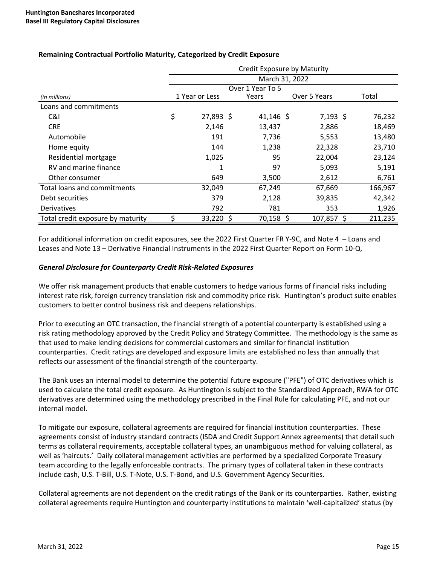|                                   | Credit Exposure by Maturity |                |  |                  |              |               |  |
|-----------------------------------|-----------------------------|----------------|--|------------------|--------------|---------------|--|
|                                   | March 31, 2022              |                |  |                  |              |               |  |
|                                   |                             |                |  | Over 1 Year To 5 |              |               |  |
| (in millions)                     |                             | 1 Year or Less |  | Years            | Over 5 Years | Total         |  |
| Loans and commitments             |                             |                |  |                  |              |               |  |
| C&I                               | \$                          | 27,893 \$      |  | 41,146 \$        | $7,193$ \$   | 76,232        |  |
| <b>CRE</b>                        |                             | 2,146          |  | 13,437           | 2,886        | 18,469        |  |
| Automobile                        |                             | 191            |  | 7,736            | 5,553        | 13,480        |  |
| Home equity                       |                             | 144            |  | 1,238            | 22,328       | 23,710        |  |
| Residential mortgage              |                             | 1,025          |  | 95               | 22,004       | 23,124        |  |
| RV and marine finance             |                             | 1              |  | 97               | 5,093        | 5,191         |  |
| Other consumer                    |                             | 649            |  | 3,500            | 2,612        | 6,761         |  |
| Total loans and commitments       |                             | 32,049         |  | 67,249           | 67,669       | 166,967       |  |
| Debt securities                   |                             | 379            |  | 2,128            | 39,835       | 42,342        |  |
| Derivatives                       |                             | 792            |  | 781              | 353          | 1,926         |  |
| Total credit exposure by maturity | Ś                           | 33,220 \$      |  | 70,158 \$        | 107,857      | 211,235<br>-S |  |

# **Remaining Contractual Portfolio Maturity, Categorized by Credit Exposure**

For additional information on credit exposures, see the 2022 First Quarter FR Y-9C, and Note 4 - Loans and Leases and Note 13 – Derivative Financial Instruments in the 2022 First Quarter Report on Form 10-Q.

#### *General Disclosure for Counterparty Credit Risk-Related Exposures*

We offer risk management products that enable customers to hedge various forms of financial risks including interest rate risk, foreign currency translation risk and commodity price risk. Huntington's product suite enables customers to better control business risk and deepens relationships.

Prior to executing an OTC transaction, the financial strength of a potential counterparty is established using a risk rating methodology approved by the Credit Policy and Strategy Committee. The methodology is the same as that used to make lending decisions for commercial customers and similar for financial institution counterparties. Credit ratings are developed and exposure limits are established no less than annually that reflects our assessment of the financial strength of the counterparty.

The Bank uses an internal model to determine the potential future exposure ("PFE") of OTC derivatives which is used to calculate the total credit exposure. As Huntington is subject to the Standardized Approach, RWA for OTC derivatives are determined using the methodology prescribed in the Final Rule for calculating PFE, and not our internal model.

To mitigate our exposure, collateral agreements are required for financial institution counterparties. These agreements consist of industry standard contracts (ISDA and Credit Support Annex agreements) that detail such terms as collateral requirements, acceptable collateral types, an unambiguous method for valuing collateral, as well as 'haircuts.' Daily collateral management activities are performed by a specialized Corporate Treasury team according to the legally enforceable contracts. The primary types of collateral taken in these contracts include cash, U.S. T-Bill, U.S. T-Note, U.S. T-Bond, and U.S. Government Agency Securities.

Collateral agreements are not dependent on the credit ratings of the Bank or its counterparties. Rather, existing collateral agreements require Huntington and counterparty institutions to maintain 'well-capitalized' status (by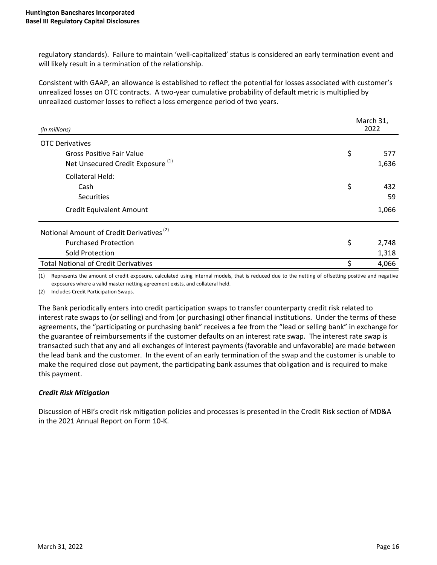regulatory standards). Failure to maintain 'well-capitalized' status is considered an early termination event and will likely result in a termination of the relationship.

Consistent with GAAP, an allowance is established to reflect the potential for losses associated with customer's unrealized losses on OTC contracts. A two-year cumulative probability of default metric is multiplied by unrealized customer losses to reflect a loss emergence period of two years.

| (in millions)                                        | March 31,<br>2022 |       |
|------------------------------------------------------|-------------------|-------|
| <b>OTC Derivatives</b>                               |                   |       |
| <b>Gross Positive Fair Value</b>                     | \$                | 577   |
| Net Unsecured Credit Exposure <sup>(1)</sup>         |                   | 1,636 |
| Collateral Held:                                     |                   |       |
| Cash                                                 | \$                | 432   |
| <b>Securities</b>                                    |                   | 59    |
| <b>Credit Equivalent Amount</b>                      |                   | 1,066 |
| Notional Amount of Credit Derivatives <sup>(2)</sup> |                   |       |
| <b>Purchased Protection</b>                          | \$                | 2,748 |
| Sold Protection                                      |                   | 1,318 |
| <b>Total Notional of Credit Derivatives</b>          | \$                | 4,066 |

(1) Represents the amount of credit exposure, calculated using internal models, that is reduced due to the netting of offsetting positive and negative exposures where a valid master netting agreement exists, and collateral held.

(2) Includes Credit Participation Swaps.

The Bank periodically enters into credit participation swaps to transfer counterparty credit risk related to interest rate swaps to (or selling) and from (or purchasing) other financial institutions. Under the terms of these agreements, the "participating or purchasing bank" receives a fee from the "lead or selling bank" in exchange for the guarantee of reimbursements if the customer defaults on an interest rate swap. The interest rate swap is transacted such that any and all exchanges of interest payments (favorable and unfavorable) are made between the lead bank and the customer. In the event of an early termination of the swap and the customer is unable to make the required close out payment, the participating bank assumes that obligation and is required to make this payment.

# *Credit Risk Mitigation*

Discussion of HBI's credit risk mitigation policies and processes is presented in the Credit Risk section of MD&A in the 2021 Annual Report on Form 10-K.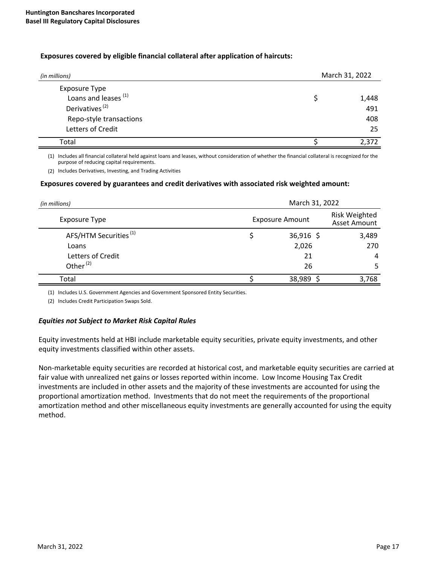#### **Exposures covered by eligible financial collateral after application of haircuts:**

| (in millions)                   | March 31, 2022 |       |  |
|---------------------------------|----------------|-------|--|
| <b>Exposure Type</b>            |                |       |  |
| Loans and leases <sup>(1)</sup> |                | 1,448 |  |
| Derivatives <sup>(2)</sup>      |                | 491   |  |
| Repo-style transactions         |                | 408   |  |
| Letters of Credit               |                | 25    |  |
| Total                           |                | 2,372 |  |

(1) Includes all financial collateral held against loans and leases, without consideration of whether the financial collateral is recognized for the purpose of reducing capital requirements.

(2) Includes Derivatives, Investing, and Trading Activities

#### Exposures covered by guarantees and credit derivatives with associated risk weighted amount:

| (in millions)                     | March 31, 2022         |                                      |  |  |  |
|-----------------------------------|------------------------|--------------------------------------|--|--|--|
| <b>Exposure Type</b>              | <b>Exposure Amount</b> | <b>Risk Weighted</b><br>Asset Amount |  |  |  |
| AFS/HTM Securities <sup>(1)</sup> | $36,916$ \$            | 3,489                                |  |  |  |
| Loans                             | 2,026                  | 270                                  |  |  |  |
| Letters of Credit                 | 21                     | 4                                    |  |  |  |
| Other <sup>(2)</sup>              | 26                     | 5                                    |  |  |  |
| Total                             | 38,989                 | 3,768                                |  |  |  |

(1) Includes U.S. Government Agencies and Government Sponsored Entity Securities.

(2) Includes Credit Participation Swaps Sold.

#### *Equities not Subject to Market Risk Capital Rules*

Equity investments held at HBI include marketable equity securities, private equity investments, and other equity investments classified within other assets.

Non-marketable equity securities are recorded at historical cost, and marketable equity securities are carried at fair value with unrealized net gains or losses reported within income. Low Income Housing Tax Credit investments are included in other assets and the majority of these investments are accounted for using the proportional amortization method. Investments that do not meet the requirements of the proportional amortization method and other miscellaneous equity investments are generally accounted for using the equity method.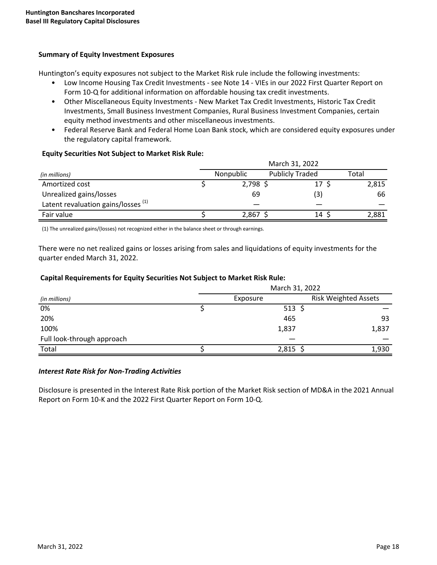## **Summary of Equity Investment Exposures**

Huntington's equity exposures not subject to the Market Risk rule include the following investments:

- Low Income Housing Tax Credit Investments see Note 14 VIEs in our 2022 First Quarter Report on Form 10-Q for additional information on affordable housing tax credit investments.
- Other Miscellaneous Equity Investments New Market Tax Credit Investments, Historic Tax Credit Investments, Small Business Investment Companies, Rural Business Investment Companies, certain equity method investments and other miscellaneous investments.
- Federal Reserve Bank and Federal Home Loan Bank stock, which are considered equity exposures under the regulatory capital framework.

## **Equity Securities Not Subject to Market Risk Rule:**

|                                                | March 31, 2022 |                        |       |  |  |
|------------------------------------------------|----------------|------------------------|-------|--|--|
| (in millions)                                  | Nonpublic      | <b>Publicly Traded</b> | Total |  |  |
| Amortized cost                                 | $2,798$ \$     | 17                     | 2,815 |  |  |
| Unrealized gains/losses                        | 69             | (3)                    | 66    |  |  |
| Latent revaluation gains/losses <sup>(1)</sup> |                |                        |       |  |  |
| Fair value                                     | 2,867          | 14                     | 2,881 |  |  |

(1) The unrealized gains/(losses) not recognized either in the balance sheet or through earnings.

There were no net realized gains or losses arising from sales and liquidations of equity investments for the quarter ended March 31, 2022.

#### Capital Requirements for Equity Securities Not Subject to Market Risk Rule:

|                            | March 31, 2022 |                             |  |  |
|----------------------------|----------------|-----------------------------|--|--|
| (in millions)              | Exposure       | <b>Risk Weighted Assets</b> |  |  |
| 0%                         | $513$ \$       |                             |  |  |
| 20%                        | 465            | 93                          |  |  |
| 100%                       | 1,837          | 1,837                       |  |  |
| Full look-through approach |                |                             |  |  |
| Total                      | $2,815$ \$     | 1,930                       |  |  |

#### *Interest Rate Risk for Non-Trading Activities*

Disclosure is presented in the Interest Rate Risk portion of the Market Risk section of MD&A in the 2021 Annual Report on Form 10-K and the 2022 First Quarter Report on Form 10-Q.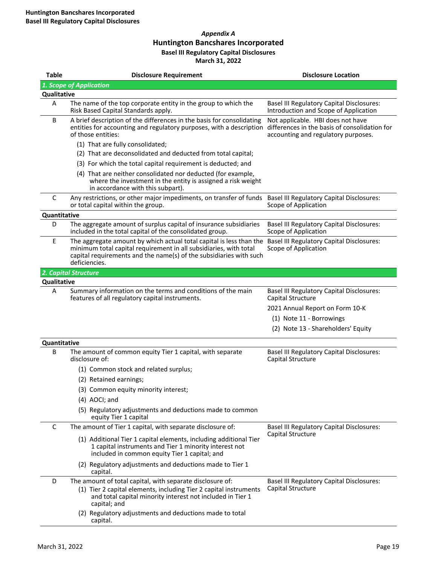#### *Appendix A* **Huntington Bancshares Incorporated Basel III Regulatory Capital Disclosures March 31, 2022**

| <b>Table</b> | <b>Disclosure Requirement</b>                                                                                                                                                                                                                                             | <b>Disclosure Location</b>                                                                                                |
|--------------|---------------------------------------------------------------------------------------------------------------------------------------------------------------------------------------------------------------------------------------------------------------------------|---------------------------------------------------------------------------------------------------------------------------|
|              | 1. Scope of Application                                                                                                                                                                                                                                                   |                                                                                                                           |
| Qualitative  |                                                                                                                                                                                                                                                                           |                                                                                                                           |
| А            | The name of the top corporate entity in the group to which the<br>Risk Based Capital Standards apply.                                                                                                                                                                     | <b>Basel III Regulatory Capital Disclosures:</b><br>Introduction and Scope of Application                                 |
| B            | A brief description of the differences in the basis for consolidating<br>entities for accounting and regulatory purposes, with a description<br>of those entities:                                                                                                        | Not applicable. HBI does not have<br>differences in the basis of consolidation for<br>accounting and regulatory purposes. |
|              | (1) That are fully consolidated;                                                                                                                                                                                                                                          |                                                                                                                           |
|              | (2) That are deconsolidated and deducted from total capital;                                                                                                                                                                                                              |                                                                                                                           |
|              | (3) For which the total capital requirement is deducted; and                                                                                                                                                                                                              |                                                                                                                           |
|              | (4) That are neither consolidated nor deducted (for example,<br>where the investment in the entity is assigned a risk weight<br>in accordance with this subpart).                                                                                                         |                                                                                                                           |
| C            | Any restrictions, or other major impediments, on transfer of funds Basel III Regulatory Capital Disclosures:<br>or total capital within the group.                                                                                                                        | Scope of Application                                                                                                      |
| Quantitative |                                                                                                                                                                                                                                                                           |                                                                                                                           |
| D            | The aggregate amount of surplus capital of insurance subsidiaries<br>included in the total capital of the consolidated group.                                                                                                                                             | <b>Basel III Regulatory Capital Disclosures:</b><br>Scope of Application                                                  |
| E            | The aggregate amount by which actual total capital is less than the Basel III Regulatory Capital Disclosures:<br>minimum total capital requirement in all subsidiaries, with total<br>capital requirements and the name(s) of the subsidiaries with such<br>deficiencies. | Scope of Application                                                                                                      |
|              | 2. Capital Structure                                                                                                                                                                                                                                                      |                                                                                                                           |
| Qualitative  |                                                                                                                                                                                                                                                                           |                                                                                                                           |
| A            | Summary information on the terms and conditions of the main<br>features of all regulatory capital instruments.                                                                                                                                                            | <b>Basel III Regulatory Capital Disclosures:</b><br>Capital Structure                                                     |
|              |                                                                                                                                                                                                                                                                           | 2021 Annual Report on Form 10-K                                                                                           |
|              |                                                                                                                                                                                                                                                                           | (1) Note 11 - Borrowings                                                                                                  |
|              |                                                                                                                                                                                                                                                                           | (2) Note 13 - Shareholders' Equity                                                                                        |
| Quantitative |                                                                                                                                                                                                                                                                           |                                                                                                                           |
| B            | The amount of common equity Tier 1 capital, with separate<br>disclosure of:                                                                                                                                                                                               | <b>Basel III Regulatory Capital Disclosures:</b><br>Capital Structure                                                     |
|              | (1) Common stock and related surplus;                                                                                                                                                                                                                                     |                                                                                                                           |
|              | (2) Retained earnings;                                                                                                                                                                                                                                                    |                                                                                                                           |
|              | (3) Common equity minority interest;                                                                                                                                                                                                                                      |                                                                                                                           |
|              | (4) AOCI; and                                                                                                                                                                                                                                                             |                                                                                                                           |
|              | (5) Regulatory adjustments and deductions made to common<br>equity Tier 1 capital                                                                                                                                                                                         |                                                                                                                           |
| C            | The amount of Tier 1 capital, with separate disclosure of:                                                                                                                                                                                                                | <b>Basel III Regulatory Capital Disclosures:</b>                                                                          |
|              | (1) Additional Tier 1 capital elements, including additional Tier<br>1 capital instruments and Tier 1 minority interest not<br>included in common equity Tier 1 capital; and                                                                                              | Capital Structure                                                                                                         |
|              | (2) Regulatory adjustments and deductions made to Tier 1<br>capital.                                                                                                                                                                                                      |                                                                                                                           |
| D            | The amount of total capital, with separate disclosure of:                                                                                                                                                                                                                 | Basel III Regulatory Capital Disclosures:                                                                                 |
|              | (1) Tier 2 capital elements, including Tier 2 capital instruments<br>and total capital minority interest not included in Tier 1<br>capital; and                                                                                                                           | Capital Structure                                                                                                         |
|              | (2) Regulatory adjustments and deductions made to total<br>capital.                                                                                                                                                                                                       |                                                                                                                           |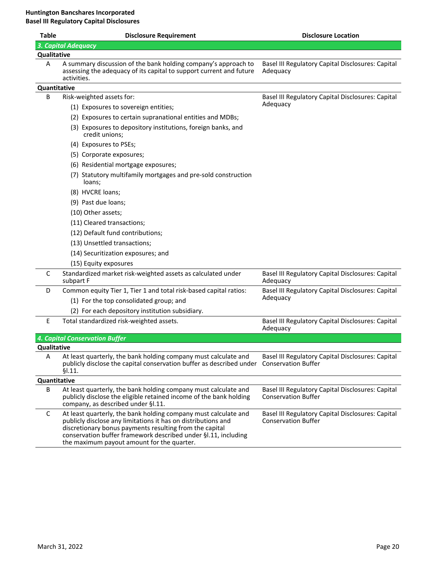| <b>Table</b> | <b>Disclosure Requirement</b>                                                                                                                                                                                                                                                                               | <b>Disclosure Location</b>                                                      |
|--------------|-------------------------------------------------------------------------------------------------------------------------------------------------------------------------------------------------------------------------------------------------------------------------------------------------------------|---------------------------------------------------------------------------------|
|              | 3. Capital Adequacy                                                                                                                                                                                                                                                                                         |                                                                                 |
| Qualitative  |                                                                                                                                                                                                                                                                                                             |                                                                                 |
| A            | A summary discussion of the bank holding company's approach to<br>assessing the adequacy of its capital to support current and future<br>activities.                                                                                                                                                        | Basel III Regulatory Capital Disclosures: Capital<br>Adequacy                   |
| Quantitative |                                                                                                                                                                                                                                                                                                             |                                                                                 |
| B            | Risk-weighted assets for:                                                                                                                                                                                                                                                                                   | Basel III Regulatory Capital Disclosures: Capital                               |
|              | (1) Exposures to sovereign entities;                                                                                                                                                                                                                                                                        | Adequacy                                                                        |
|              | (2) Exposures to certain supranational entities and MDBs;                                                                                                                                                                                                                                                   |                                                                                 |
|              | (3) Exposures to depository institutions, foreign banks, and<br>credit unions;                                                                                                                                                                                                                              |                                                                                 |
|              | (4) Exposures to PSEs;                                                                                                                                                                                                                                                                                      |                                                                                 |
|              | (5) Corporate exposures;                                                                                                                                                                                                                                                                                    |                                                                                 |
|              | (6) Residential mortgage exposures;                                                                                                                                                                                                                                                                         |                                                                                 |
|              | (7) Statutory multifamily mortgages and pre-sold construction<br>loans;                                                                                                                                                                                                                                     |                                                                                 |
|              | (8) HVCRE loans;                                                                                                                                                                                                                                                                                            |                                                                                 |
|              | (9) Past due loans;                                                                                                                                                                                                                                                                                         |                                                                                 |
|              | (10) Other assets;                                                                                                                                                                                                                                                                                          |                                                                                 |
|              | (11) Cleared transactions;                                                                                                                                                                                                                                                                                  |                                                                                 |
|              | (12) Default fund contributions;                                                                                                                                                                                                                                                                            |                                                                                 |
|              | (13) Unsettled transactions;                                                                                                                                                                                                                                                                                |                                                                                 |
|              | (14) Securitization exposures; and                                                                                                                                                                                                                                                                          |                                                                                 |
|              | (15) Equity exposures                                                                                                                                                                                                                                                                                       |                                                                                 |
| C            | Standardized market risk-weighted assets as calculated under<br>subpart F                                                                                                                                                                                                                                   | Basel III Regulatory Capital Disclosures: Capital<br>Adequacy                   |
| D            | Common equity Tier 1, Tier 1 and total risk-based capital ratios:                                                                                                                                                                                                                                           | Basel III Regulatory Capital Disclosures: Capital                               |
|              | (1) For the top consolidated group; and                                                                                                                                                                                                                                                                     | Adequacy                                                                        |
|              | (2) For each depository institution subsidiary.                                                                                                                                                                                                                                                             |                                                                                 |
| E            | Total standardized risk-weighted assets.                                                                                                                                                                                                                                                                    | Basel III Regulatory Capital Disclosures: Capital<br>Adequacy                   |
|              | <b>4. Capital Conservation Buffer</b>                                                                                                                                                                                                                                                                       |                                                                                 |
| Qualitative  |                                                                                                                                                                                                                                                                                                             |                                                                                 |
| A            | At least quarterly, the bank holding company must calculate and<br>publicly disclose the capital conservation buffer as described under<br>\$1.11.                                                                                                                                                          | Basel III Regulatory Capital Disclosures: Capital<br><b>Conservation Buffer</b> |
| Quantitative |                                                                                                                                                                                                                                                                                                             |                                                                                 |
| В            | At least quarterly, the bank holding company must calculate and<br>publicly disclose the eligible retained income of the bank holding<br>company, as described under §I.11.                                                                                                                                 | Basel III Regulatory Capital Disclosures: Capital<br><b>Conservation Buffer</b> |
| C            | At least quarterly, the bank holding company must calculate and<br>publicly disclose any limitations it has on distributions and<br>discretionary bonus payments resulting from the capital<br>conservation buffer framework described under §I.11, including<br>the maximum payout amount for the quarter. | Basel III Regulatory Capital Disclosures: Capital<br><b>Conservation Buffer</b> |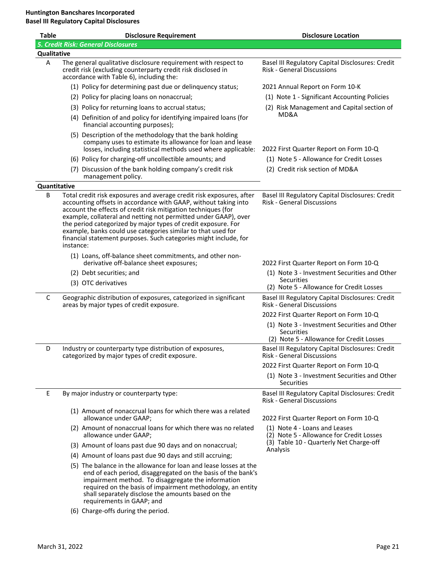| <b>Table</b> | <b>Disclosure Requirement</b>                                                                                                                                                                                                                                                                                                                                                                                                                                                                 | <b>Disclosure Location</b>                                                                                    |
|--------------|-----------------------------------------------------------------------------------------------------------------------------------------------------------------------------------------------------------------------------------------------------------------------------------------------------------------------------------------------------------------------------------------------------------------------------------------------------------------------------------------------|---------------------------------------------------------------------------------------------------------------|
|              | <b>5. Credit Risk: General Disclosures</b>                                                                                                                                                                                                                                                                                                                                                                                                                                                    |                                                                                                               |
| Qualitative  |                                                                                                                                                                                                                                                                                                                                                                                                                                                                                               |                                                                                                               |
| A            | The general qualitative disclosure requirement with respect to<br>credit risk (excluding counterparty credit risk disclosed in<br>accordance with Table 6), including the:                                                                                                                                                                                                                                                                                                                    | Basel III Regulatory Capital Disclosures: Credit<br><b>Risk - General Discussions</b>                         |
|              | (1) Policy for determining past due or delinquency status;                                                                                                                                                                                                                                                                                                                                                                                                                                    | 2021 Annual Report on Form 10-K                                                                               |
|              | (2) Policy for placing loans on nonaccrual;                                                                                                                                                                                                                                                                                                                                                                                                                                                   | (1) Note 1 - Significant Accounting Policies                                                                  |
|              | (3) Policy for returning loans to accrual status;                                                                                                                                                                                                                                                                                                                                                                                                                                             | (2) Risk Management and Capital section of                                                                    |
|              | (4) Definition of and policy for identifying impaired loans (for<br>financial accounting purposes);                                                                                                                                                                                                                                                                                                                                                                                           | MD&A                                                                                                          |
|              | (5) Description of the methodology that the bank holding<br>company uses to estimate its allowance for loan and lease<br>losses, including statistical methods used where applicable:                                                                                                                                                                                                                                                                                                         | 2022 First Quarter Report on Form 10-Q                                                                        |
|              | (6) Policy for charging-off uncollectible amounts; and                                                                                                                                                                                                                                                                                                                                                                                                                                        | (1) Note 5 - Allowance for Credit Losses                                                                      |
|              | (7) Discussion of the bank holding company's credit risk<br>management policy.                                                                                                                                                                                                                                                                                                                                                                                                                | (2) Credit risk section of MD&A                                                                               |
| Quantitative |                                                                                                                                                                                                                                                                                                                                                                                                                                                                                               |                                                                                                               |
| В            | Total credit risk exposures and average credit risk exposures, after<br>accounting offsets in accordance with GAAP, without taking into<br>account the effects of credit risk mitigation techniques (for<br>example, collateral and netting not permitted under GAAP), over<br>the period categorized by major types of credit exposure. For<br>example, banks could use categories similar to that used for<br>financial statement purposes. Such categories might include, for<br>instance: | Basel III Regulatory Capital Disclosures: Credit<br><b>Risk - General Discussions</b>                         |
|              | (1) Loans, off-balance sheet commitments, and other non-<br>derivative off-balance sheet exposures;                                                                                                                                                                                                                                                                                                                                                                                           | 2022 First Quarter Report on Form 10-Q                                                                        |
|              | (2) Debt securities; and                                                                                                                                                                                                                                                                                                                                                                                                                                                                      | (1) Note 3 - Investment Securities and Other                                                                  |
|              | (3) OTC derivatives                                                                                                                                                                                                                                                                                                                                                                                                                                                                           | <b>Securities</b><br>(2) Note 5 - Allowance for Credit Losses                                                 |
| C            | Geographic distribution of exposures, categorized in significant<br>areas by major types of credit exposure.                                                                                                                                                                                                                                                                                                                                                                                  | Basel III Regulatory Capital Disclosures: Credit<br><b>Risk - General Discussions</b>                         |
|              |                                                                                                                                                                                                                                                                                                                                                                                                                                                                                               | 2022 First Quarter Report on Form 10-Q                                                                        |
|              |                                                                                                                                                                                                                                                                                                                                                                                                                                                                                               | (1) Note 3 - Investment Securities and Other<br><b>Securities</b><br>(2) Note 5 - Allowance for Credit Losses |
| D            | Industry or counterparty type distribution of exposures,<br>categorized by major types of credit exposure.                                                                                                                                                                                                                                                                                                                                                                                    | Basel III Regulatory Capital Disclosures: Credit<br>Risk - General Discussions                                |
|              |                                                                                                                                                                                                                                                                                                                                                                                                                                                                                               | 2022 First Quarter Report on Form 10-Q                                                                        |
|              |                                                                                                                                                                                                                                                                                                                                                                                                                                                                                               | (1) Note 3 - Investment Securities and Other<br><b>Securities</b>                                             |
| Ε            | By major industry or counterparty type:                                                                                                                                                                                                                                                                                                                                                                                                                                                       | Basel III Regulatory Capital Disclosures: Credit<br>Risk - General Discussions                                |
|              | (1) Amount of nonaccrual loans for which there was a related<br>allowance under GAAP;                                                                                                                                                                                                                                                                                                                                                                                                         | 2022 First Quarter Report on Form 10-Q                                                                        |
|              | (2) Amount of nonaccrual loans for which there was no related<br>allowance under GAAP;                                                                                                                                                                                                                                                                                                                                                                                                        | (1) Note 4 - Loans and Leases<br>(2) Note 5 - Allowance for Credit Losses                                     |
|              | (3) Amount of loans past due 90 days and on nonaccrual;                                                                                                                                                                                                                                                                                                                                                                                                                                       | (3) Table 10 - Quarterly Net Charge-off                                                                       |
|              | (4) Amount of loans past due 90 days and still accruing;                                                                                                                                                                                                                                                                                                                                                                                                                                      | Analysis                                                                                                      |
|              | (5) The balance in the allowance for loan and lease losses at the<br>end of each period, disaggregated on the basis of the bank's<br>impairment method. To disaggregate the information<br>required on the basis of impairment methodology, an entity<br>shall separately disclose the amounts based on the<br>requirements in GAAP; and                                                                                                                                                      |                                                                                                               |

(6) Charge-offs during the period.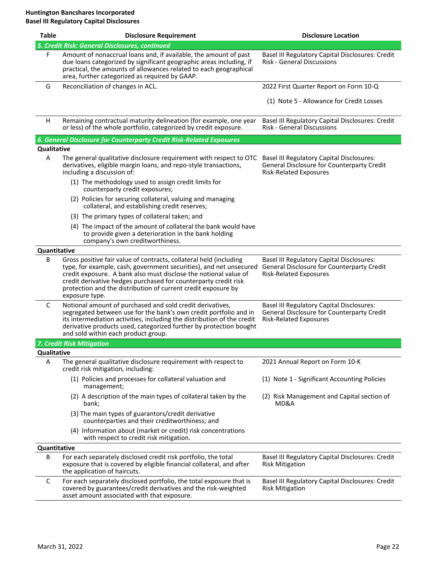| <b>Table</b> | <b>Disclosure Requirement</b>                                                                                                                                                                                                                                                                                                                                      | <b>Disclosure Location</b>                                                                                                      |
|--------------|--------------------------------------------------------------------------------------------------------------------------------------------------------------------------------------------------------------------------------------------------------------------------------------------------------------------------------------------------------------------|---------------------------------------------------------------------------------------------------------------------------------|
|              | 5. Credit Risk: General Disclosures, continued                                                                                                                                                                                                                                                                                                                     |                                                                                                                                 |
| F            | Amount of nonaccrual loans and, if available, the amount of past<br>due loans categorized by significant geographic areas including, if<br>practical, the amounts of allowances related to each geographical<br>area, further categorized as required by GAAP.                                                                                                     | Basel III Regulatory Capital Disclosures: Credit<br><b>Risk - General Discussions</b>                                           |
| G            | Reconciliation of changes in ACL.                                                                                                                                                                                                                                                                                                                                  | 2022 First Quarter Report on Form 10-Q                                                                                          |
|              |                                                                                                                                                                                                                                                                                                                                                                    | (1) Note 5 - Allowance for Credit Losses                                                                                        |
| H            | Remaining contractual maturity delineation (for example, one year<br>or less) of the whole portfolio, categorized by credit exposure.                                                                                                                                                                                                                              | Basel III Regulatory Capital Disclosures: Credit<br><b>Risk - General Discussions</b>                                           |
|              | 6. General Disclosure for Counterparty Credit Risk-Related Exposures                                                                                                                                                                                                                                                                                               |                                                                                                                                 |
| Qualitative  |                                                                                                                                                                                                                                                                                                                                                                    |                                                                                                                                 |
| Α            | The general qualitative disclosure requirement with respect to OTC<br>derivatives, eligible margin loans, and repo-style transactions,<br>including a discussion of:                                                                                                                                                                                               | <b>Basel III Regulatory Capital Disclosures:</b><br>General Disclosure for Counterparty Credit<br><b>Risk-Related Exposures</b> |
|              | (1) The methodology used to assign credit limits for<br>counterparty credit exposures;                                                                                                                                                                                                                                                                             |                                                                                                                                 |
|              | (2) Policies for securing collateral, valuing and managing<br>collateral, and establishing credit reserves;                                                                                                                                                                                                                                                        |                                                                                                                                 |
|              | (3) The primary types of collateral taken; and                                                                                                                                                                                                                                                                                                                     |                                                                                                                                 |
|              | (4) The impact of the amount of collateral the bank would have<br>to provide given a deterioration in the bank holding<br>company's own creditworthiness.                                                                                                                                                                                                          |                                                                                                                                 |
| Quantitative |                                                                                                                                                                                                                                                                                                                                                                    |                                                                                                                                 |
| B            | Gross positive fair value of contracts, collateral held (including<br>type, for example, cash, government securities), and net unsecured<br>credit exposure. A bank also must disclose the notional value of<br>credit derivative hedges purchased for counterparty credit risk<br>protection and the distribution of current credit exposure by<br>exposure type. | <b>Basel III Regulatory Capital Disclosures:</b><br>General Disclosure for Counterparty Credit<br><b>Risk-Related Exposures</b> |
| C            | Notional amount of purchased and sold credit derivatives,<br>segregated between use for the bank's own credit portfolio and in<br>its intermediation activities, including the distribution of the credit<br>derivative products used, categorized further by protection bought<br>and sold within each product group.                                             | <b>Basel III Regulatory Capital Disclosures:</b><br>General Disclosure for Counterparty Credit<br><b>Risk-Related Exposures</b> |
|              | 7. Credit Risk Mitigation                                                                                                                                                                                                                                                                                                                                          |                                                                                                                                 |
| Qualitative  |                                                                                                                                                                                                                                                                                                                                                                    |                                                                                                                                 |
| Α            | The general qualitative disclosure requirement with respect to<br>credit risk mitigation, including:                                                                                                                                                                                                                                                               | 2021 Annual Report on Form 10-K                                                                                                 |
|              | (1) Policies and processes for collateral valuation and<br>management;                                                                                                                                                                                                                                                                                             | (1) Note 1 - Significant Accounting Policies                                                                                    |
|              | (2) A description of the main types of collateral taken by the<br>bank;                                                                                                                                                                                                                                                                                            | (2) Risk Management and Capital section of<br>MD&A                                                                              |
|              | (3) The main types of guarantors/credit derivative<br>counterparties and their creditworthiness; and                                                                                                                                                                                                                                                               |                                                                                                                                 |
|              | (4) Information about (market or credit) risk concentrations<br>with respect to credit risk mitigation.                                                                                                                                                                                                                                                            |                                                                                                                                 |
| Quantitative |                                                                                                                                                                                                                                                                                                                                                                    |                                                                                                                                 |
| B            | For each separately disclosed credit risk portfolio, the total<br>exposure that is covered by eligible financial collateral, and after<br>the application of haircuts.                                                                                                                                                                                             | Basel III Regulatory Capital Disclosures: Credit<br><b>Risk Mitigation</b>                                                      |
| C            | For each separately disclosed portfolio, the total exposure that is<br>covered by guarantees/credit derivatives and the risk-weighted<br>asset amount associated with that exposure.                                                                                                                                                                               | Basel III Regulatory Capital Disclosures: Credit<br><b>Risk Mitigation</b>                                                      |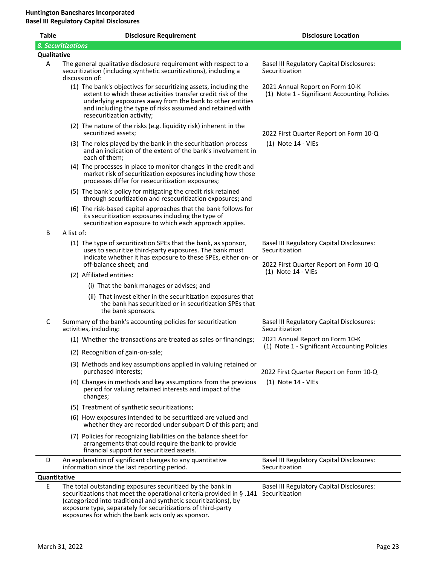| <b>Table</b> |                                                                                                                                                                                                                      | <b>Disclosure Requirement</b>                                                                                                                                                                                                                                                                                                                | <b>Disclosure Location</b>                                                                                   |  |  |  |  |  |
|--------------|----------------------------------------------------------------------------------------------------------------------------------------------------------------------------------------------------------------------|----------------------------------------------------------------------------------------------------------------------------------------------------------------------------------------------------------------------------------------------------------------------------------------------------------------------------------------------|--------------------------------------------------------------------------------------------------------------|--|--|--|--|--|
|              | 8. Securitizations                                                                                                                                                                                                   |                                                                                                                                                                                                                                                                                                                                              |                                                                                                              |  |  |  |  |  |
|              | <b>Qualitative</b>                                                                                                                                                                                                   |                                                                                                                                                                                                                                                                                                                                              |                                                                                                              |  |  |  |  |  |
| Α            | discussion of:                                                                                                                                                                                                       | The general qualitative disclosure requirement with respect to a<br>securitization (including synthetic securitizations), including a                                                                                                                                                                                                        | <b>Basel III Regulatory Capital Disclosures:</b><br>Securitization                                           |  |  |  |  |  |
|              |                                                                                                                                                                                                                      | (1) The bank's objectives for securitizing assets, including the<br>extent to which these activities transfer credit risk of the<br>underlying exposures away from the bank to other entities<br>and including the type of risks assumed and retained with<br>resecuritization activity;                                                     | 2021 Annual Report on Form 10-K<br>(1) Note 1 - Significant Accounting Policies                              |  |  |  |  |  |
|              |                                                                                                                                                                                                                      | (2) The nature of the risks (e.g. liquidity risk) inherent in the<br>securitized assets;                                                                                                                                                                                                                                                     | 2022 First Quarter Report on Form 10-Q                                                                       |  |  |  |  |  |
|              | each of them;                                                                                                                                                                                                        | (3) The roles played by the bank in the securitization process<br>and an indication of the extent of the bank's involvement in                                                                                                                                                                                                               | $(1)$ Note 14 - VIEs                                                                                         |  |  |  |  |  |
|              |                                                                                                                                                                                                                      | (4) The processes in place to monitor changes in the credit and<br>market risk of securitization exposures including how those<br>processes differ for resecuritization exposures;                                                                                                                                                           |                                                                                                              |  |  |  |  |  |
|              |                                                                                                                                                                                                                      | (5) The bank's policy for mitigating the credit risk retained<br>through securitization and resecuritization exposures; and                                                                                                                                                                                                                  |                                                                                                              |  |  |  |  |  |
|              |                                                                                                                                                                                                                      | (6) The risk-based capital approaches that the bank follows for<br>its securitization exposures including the type of<br>securitization exposure to which each approach applies.                                                                                                                                                             |                                                                                                              |  |  |  |  |  |
| B            | A list of:                                                                                                                                                                                                           |                                                                                                                                                                                                                                                                                                                                              |                                                                                                              |  |  |  |  |  |
|              | (1) The type of securitization SPEs that the bank, as sponsor,<br>uses to securitize third-party exposures. The bank must<br>indicate whether it has exposure to these SPEs, either on- or<br>off-balance sheet; and |                                                                                                                                                                                                                                                                                                                                              | <b>Basel III Regulatory Capital Disclosures:</b><br>Securitization<br>2022 First Quarter Report on Form 10-Q |  |  |  |  |  |
|              | (2) Affiliated entities:                                                                                                                                                                                             |                                                                                                                                                                                                                                                                                                                                              | $(1)$ Note 14 - VIEs                                                                                         |  |  |  |  |  |
|              |                                                                                                                                                                                                                      | (i) That the bank manages or advises; and                                                                                                                                                                                                                                                                                                    |                                                                                                              |  |  |  |  |  |
|              |                                                                                                                                                                                                                      | (ii) That invest either in the securitization exposures that<br>the bank has securitized or in securitization SPEs that<br>the bank sponsors.                                                                                                                                                                                                |                                                                                                              |  |  |  |  |  |
| C            | activities, including:                                                                                                                                                                                               | Summary of the bank's accounting policies for securitization                                                                                                                                                                                                                                                                                 | <b>Basel III Regulatory Capital Disclosures:</b><br>Securitization                                           |  |  |  |  |  |
|              |                                                                                                                                                                                                                      | (1) Whether the transactions are treated as sales or financings;                                                                                                                                                                                                                                                                             | 2021 Annual Report on Form 10-K                                                                              |  |  |  |  |  |
|              |                                                                                                                                                                                                                      | (2) Recognition of gain-on-sale;                                                                                                                                                                                                                                                                                                             | (1) Note 1 - Significant Accounting Policies                                                                 |  |  |  |  |  |
|              |                                                                                                                                                                                                                      | (3) Methods and key assumptions applied in valuing retained or<br>purchased interests;                                                                                                                                                                                                                                                       | 2022 First Quarter Report on Form 10-Q                                                                       |  |  |  |  |  |
|              | changes;                                                                                                                                                                                                             | (4) Changes in methods and key assumptions from the previous<br>period for valuing retained interests and impact of the                                                                                                                                                                                                                      | (1) Note 14 - VIEs                                                                                           |  |  |  |  |  |
|              |                                                                                                                                                                                                                      | (5) Treatment of synthetic securitizations;                                                                                                                                                                                                                                                                                                  |                                                                                                              |  |  |  |  |  |
|              |                                                                                                                                                                                                                      | (6) How exposures intended to be securitized are valued and<br>whether they are recorded under subpart D of this part; and                                                                                                                                                                                                                   |                                                                                                              |  |  |  |  |  |
|              |                                                                                                                                                                                                                      | (7) Policies for recognizing liabilities on the balance sheet for<br>arrangements that could require the bank to provide<br>financial support for securitized assets.                                                                                                                                                                        |                                                                                                              |  |  |  |  |  |
| D            |                                                                                                                                                                                                                      | An explanation of significant changes to any quantitative<br>information since the last reporting period.                                                                                                                                                                                                                                    | <b>Basel III Regulatory Capital Disclosures:</b><br>Securitization                                           |  |  |  |  |  |
| Quantitative |                                                                                                                                                                                                                      |                                                                                                                                                                                                                                                                                                                                              |                                                                                                              |  |  |  |  |  |
| E            |                                                                                                                                                                                                                      | The total outstanding exposures securitized by the bank in<br>securitizations that meet the operational criteria provided in § .141 Securitization<br>(categorized into traditional and synthetic securitizations), by<br>exposure type, separately for securitizations of third-party<br>exposures for which the bank acts only as sponsor. | <b>Basel III Regulatory Capital Disclosures:</b>                                                             |  |  |  |  |  |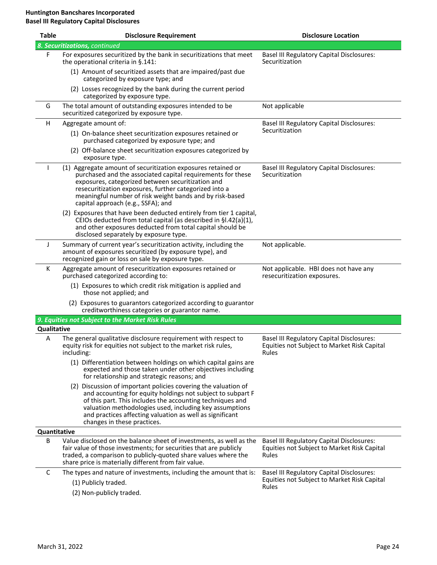| <b>Table</b> | <b>Disclosure Requirement</b>                                                                                                                                                                                                                                                                                                                    | <b>Disclosure Location</b>                                                                               |
|--------------|--------------------------------------------------------------------------------------------------------------------------------------------------------------------------------------------------------------------------------------------------------------------------------------------------------------------------------------------------|----------------------------------------------------------------------------------------------------------|
|              | 8. Securitizations, continued                                                                                                                                                                                                                                                                                                                    |                                                                                                          |
| F            | For exposures securitized by the bank in securitizations that meet<br>the operational criteria in §.141:                                                                                                                                                                                                                                         | <b>Basel III Regulatory Capital Disclosures:</b><br>Securitization                                       |
|              | (1) Amount of securitized assets that are impaired/past due<br>categorized by exposure type; and                                                                                                                                                                                                                                                 |                                                                                                          |
|              | (2) Losses recognized by the bank during the current period<br>categorized by exposure type.                                                                                                                                                                                                                                                     |                                                                                                          |
| G            | The total amount of outstanding exposures intended to be<br>securitized categorized by exposure type.                                                                                                                                                                                                                                            | Not applicable                                                                                           |
| H            | Aggregate amount of:                                                                                                                                                                                                                                                                                                                             | <b>Basel III Regulatory Capital Disclosures:</b>                                                         |
|              | (1) On-balance sheet securitization exposures retained or<br>purchased categorized by exposure type; and                                                                                                                                                                                                                                         | Securitization                                                                                           |
|              | (2) Off-balance sheet securitization exposures categorized by<br>exposure type.                                                                                                                                                                                                                                                                  |                                                                                                          |
|              | (1) Aggregate amount of securitization exposures retained or<br>purchased and the associated capital requirements for these<br>exposures, categorized between securitization and<br>resecuritization exposures, further categorized into a<br>meaningful number of risk weight bands and by risk-based<br>capital approach (e.g., SSFA); and     | <b>Basel III Regulatory Capital Disclosures:</b><br>Securitization                                       |
|              | (2) Exposures that have been deducted entirely from tier 1 capital,<br>CEIOs deducted from total capital (as described in §I.42(a)(1),<br>and other exposures deducted from total capital should be<br>disclosed separately by exposure type.                                                                                                    |                                                                                                          |
| J            | Summary of current year's securitization activity, including the<br>amount of exposures securitized (by exposure type), and<br>recognized gain or loss on sale by exposure type.                                                                                                                                                                 | Not applicable.                                                                                          |
| К            | Aggregate amount of resecuritization exposures retained or<br>purchased categorized according to:                                                                                                                                                                                                                                                | Not applicable. HBI does not have any<br>resecuritization exposures.                                     |
|              | (1) Exposures to which credit risk mitigation is applied and<br>those not applied; and                                                                                                                                                                                                                                                           |                                                                                                          |
|              | (2) Exposures to guarantors categorized according to guarantor<br>creditworthiness categories or guarantor name.                                                                                                                                                                                                                                 |                                                                                                          |
|              | 9. Equities not Subject to the Market Risk Rules                                                                                                                                                                                                                                                                                                 |                                                                                                          |
| Qualitative  |                                                                                                                                                                                                                                                                                                                                                  |                                                                                                          |
| A            | The general qualitative disclosure requirement with respect to<br>equity risk for equities not subject to the market risk rules,<br>including:                                                                                                                                                                                                   | <b>Basel III Regulatory Capital Disclosures:</b><br>Equities not Subject to Market Risk Capital<br>Rules |
|              | (1) Differentiation between holdings on which capital gains are<br>expected and those taken under other objectives including<br>for relationship and strategic reasons; and                                                                                                                                                                      |                                                                                                          |
|              | (2) Discussion of important policies covering the valuation of<br>and accounting for equity holdings not subject to subpart F<br>of this part. This includes the accounting techniques and<br>valuation methodologies used, including key assumptions<br>and practices affecting valuation as well as significant<br>changes in these practices. |                                                                                                          |
| Quantitative |                                                                                                                                                                                                                                                                                                                                                  |                                                                                                          |
| B            | Value disclosed on the balance sheet of investments, as well as the<br>fair value of those investments; for securities that are publicly<br>traded, a comparison to publicly-quoted share values where the<br>share price is materially different from fair value.                                                                               | <b>Basel III Regulatory Capital Disclosures:</b><br>Equities not Subject to Market Risk Capital<br>Rules |
| С            | The types and nature of investments, including the amount that is:                                                                                                                                                                                                                                                                               | <b>Basel III Regulatory Capital Disclosures:</b>                                                         |
|              | (1) Publicly traded.                                                                                                                                                                                                                                                                                                                             | Equities not Subject to Market Risk Capital<br>Rules                                                     |
|              | (2) Non-publicly traded.                                                                                                                                                                                                                                                                                                                         |                                                                                                          |